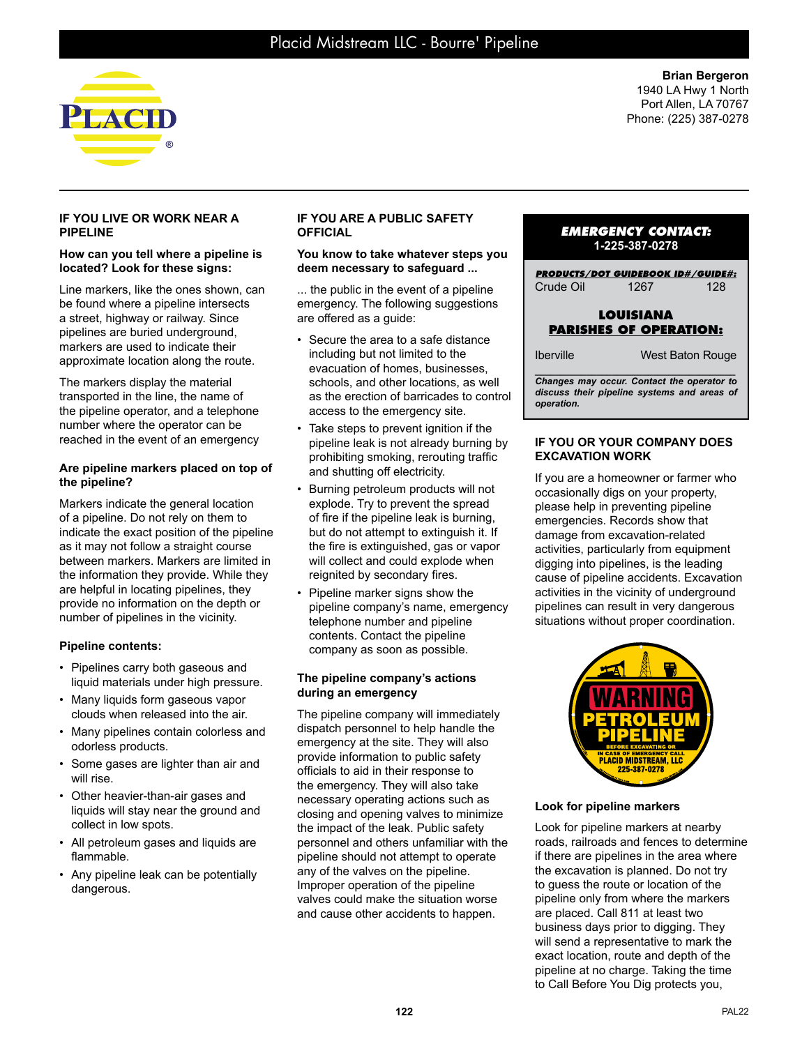

**Brian Bergeron** 1940 LA Hwy 1 North Port Allen, LA 70767 Phone: (225) 387-0278

### **IF YOU LIVE OR WORK NEAR A PIPELINE**

#### **How can you tell where a pipeline is located? Look for these signs:**

Line markers, like the ones shown, can be found where a pipeline intersects a street, highway or railway. Since pipelines are buried underground, markers are used to indicate their approximate location along the route.

The markers display the material transported in the line, the name of the pipeline operator, and a telephone number where the operator can be reached in the event of an emergency

## **Are pipeline markers placed on top of the pipeline?**

Markers indicate the general location of a pipeline. Do not rely on them to indicate the exact position of the pipeline as it may not follow a straight course between markers. Markers are limited in the information they provide. While they are helpful in locating pipelines, they provide no information on the depth or number of pipelines in the vicinity.

# **Pipeline contents:**

- Pipelines carry both gaseous and liquid materials under high pressure.
- Many liquids form gaseous vapor clouds when released into the air.
- Many pipelines contain colorless and odorless products.
- Some gases are lighter than air and will rise.
- Other heavier-than-air gases and liquids will stay near the ground and collect in low spots.
- All petroleum gases and liquids are flammable.
- Any pipeline leak can be potentially dangerous.

## **IF YOU ARE A PUBLIC SAFETY OFFICIAL**

#### **You know to take whatever steps you deem necessary to safeguard ...**

... the public in the event of a pipeline emergency. The following suggestions are offered as a guide:

- Secure the area to a safe distance including but not limited to the evacuation of homes, businesses, schools, and other locations, as well as the erection of barricades to control access to the emergency site.
- Take steps to prevent ignition if the pipeline leak is not already burning by prohibiting smoking, rerouting traffic and shutting off electricity.
- Burning petroleum products will not explode. Try to prevent the spread of fire if the pipeline leak is burning, but do not attempt to extinguish it. If the fire is extinguished, gas or vapor will collect and could explode when reignited by secondary fires.
- Pipeline marker signs show the pipeline company's name, emergency telephone number and pipeline contents. Contact the pipeline company as soon as possible.

## **The pipeline company's actions during an emergency**

The pipeline company will immediately dispatch personnel to help handle the emergency at the site. They will also provide information to public safety officials to aid in their response to the emergency. They will also take necessary operating actions such as closing and opening valves to minimize the impact of the leak. Public safety personnel and others unfamiliar with the pipeline should not attempt to operate any of the valves on the pipeline. Improper operation of the pipeline valves could make the situation worse and cause other accidents to happen.

# *EMERGENCY CONTACT:* **1-225-387-0278**

*PRODUCTS/DOT GUIDEBOOK ID#/GUIDE#:* Crude Oil 1267 128

# **LOUISIANA PARISHES OF OPERATION:**

| <b>Iberville</b> | West Baton Rouge |
|------------------|------------------|
|------------------|------------------|

*\_\_\_\_\_\_\_\_\_\_\_\_\_\_\_\_\_\_\_\_\_\_\_\_\_\_\_\_\_\_\_\_\_\_\_\_\_\_\_ Changes may occur. Contact the operator to discuss their pipeline systems and areas of operation.*

### **IF YOU OR YOUR COMPANY DOES EXCAVATION WORK**

If you are a homeowner or farmer who occasionally digs on your property, please help in preventing pipeline emergencies. Records show that damage from excavation-related activities, particularly from equipment digging into pipelines, is the leading cause of pipeline accidents. Excavation activities in the vicinity of underground pipelines can result in very dangerous situations without proper coordination.



**Look for pipeline markers**

Look for pipeline markers at nearby roads, railroads and fences to determine if there are pipelines in the area where the excavation is planned. Do not try to guess the route or location of the pipeline only from where the markers are placed. Call 811 at least two business days prior to digging. They will send a representative to mark the exact location, route and depth of the pipeline at no charge. Taking the time to Call Before You Dig protects you,